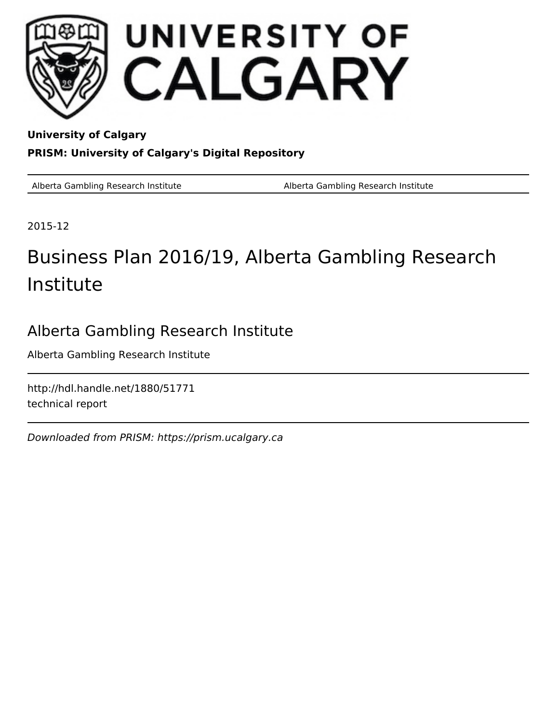

**University of Calgary PRISM: University of Calgary's Digital Repository**

Alberta Gambling Research Institute **Alberta Gambling Research Institute** Alberta Gambling Research Institute

2015-12

# Business Plan 2016/19, Alberta Gambling Research Institute

# Alberta Gambling Research Institute

Alberta Gambling Research Institute

http://hdl.handle.net/1880/51771 technical report

Downloaded from PRISM: https://prism.ucalgary.ca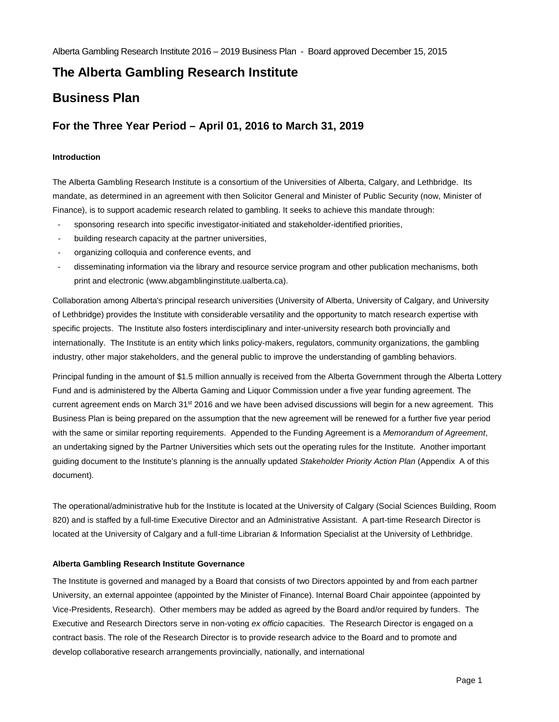Alberta Gambling Research Institute 2016 – 2019 Business Plan - Board approved December 15, 2015

# **The Alberta Gambling Research Institute**

# **Business Plan**

### **For the Three Year Period – April 01, 2016 to March 31, 2019**

#### **Introduction**

The Alberta Gambling Research Institute is a consortium of the Universities of Alberta, Calgary, and Lethbridge. Its mandate, as determined in an agreement with then Solicitor General and Minister of Public Security (now, Minister of Finance), is to support academic research related to gambling. It seeks to achieve this mandate through:

- sponsoring research into specific investigator-initiated and stakeholder-identified priorities,
- building research capacity at the partner universities,
- organizing colloquia and conference events, and
- disseminating information via the library and resource service program and other publication mechanisms, both print and electronic (www.abgamblinginstitute.ualberta.ca).

Collaboration among Alberta's principal research universities (University of Alberta, University of Calgary, and University of Lethbridge) provides the Institute with considerable versatility and the opportunity to match research expertise with specific projects. The Institute also fosters interdisciplinary and inter-university research both provincially and internationally. The Institute is an entity which links policy-makers, regulators, community organizations, the gambling industry, other major stakeholders, and the general public to improve the understanding of gambling behaviors.

Principal funding in the amount of \$1.5 million annually is received from the Alberta Government through the Alberta Lottery Fund and is administered by the Alberta Gaming and Liquor Commission under a five year funding agreement. The current agreement ends on March 31<sup>st</sup> 2016 and we have been advised discussions will begin for a new agreement. This Business Plan is being prepared on the assumption that the new agreement will be renewed for a further five year period with the same or similar reporting requirements. Appended to the Funding Agreement is a *Memorandum of Agreement*, an undertaking signed by the Partner Universities which sets out the operating rules for the Institute. Another important guiding document to the Institute's planning is the annually updated *Stakeholder Priority Action Plan* (Appendix A of this document).

The operational/administrative hub for the Institute is located at the University of Calgary (Social Sciences Building, Room 820) and is staffed by a full-time Executive Director and an Administrative Assistant. A part-time Research Director is located at the University of Calgary and a full-time Librarian & Information Specialist at the University of Lethbridge.

#### **Alberta Gambling Research Institute Governance**

The Institute is governed and managed by a Board that consists of two Directors appointed by and from each partner University, an external appointee (appointed by the Minister of Finance). Internal Board Chair appointee (appointed by Vice-Presidents, Research). Other members may be added as agreed by the Board and/or required by funders. The Executive and Research Directors serve in non-voting *ex officio* capacities. The Research Director is engaged on a contract basis. The role of the Research Director is to provide research advice to the Board and to promote and develop collaborative research arrangements provincially, nationally, and international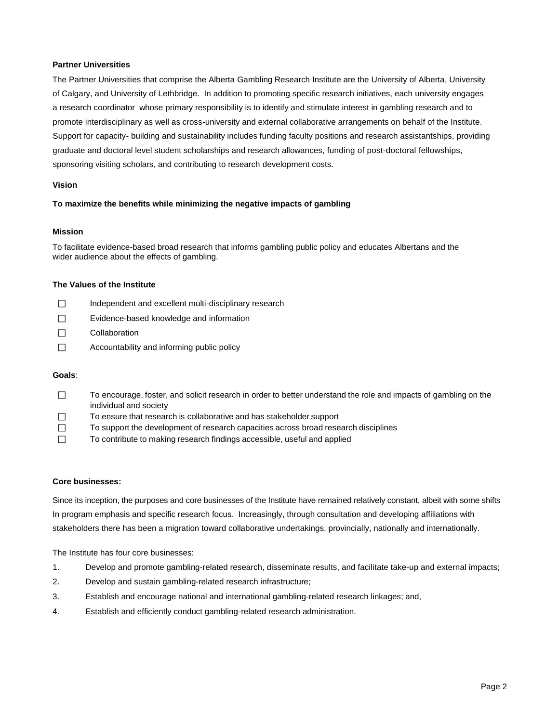#### **Partner Universities**

The Partner Universities that comprise the Alberta Gambling Research Institute are the University of Alberta, University of Calgary, and University of Lethbridge. In addition to promoting specific research initiatives, each university engages a research coordinator whose primary responsibility is to identify and stimulate interest in gambling research and to promote interdisciplinary as well as cross-university and external collaborative arrangements on behalf of the Institute. Support for capacity- building and sustainability includes funding faculty positions and research assistantships, providing graduate and doctoral level student scholarships and research allowances, funding of post-doctoral fellowships, sponsoring visiting scholars, and contributing to research development costs.

#### **Vision**

#### **To maximize the benefits while minimizing the negative impacts of gambling**

#### **Mission**

To facilitate evidence-based broad research that informs gambling public policy and educates Albertans and the wider audience about the effects of gambling.

#### **The Values of the Institute**

| $\perp$        | Independent and excellent multi-disciplinary research |
|----------------|-------------------------------------------------------|
| $\mathbf{1}$   | Evidence-based knowledge and information              |
| $\mathbf{1}$   | Collaboration                                         |
| $\blacksquare$ | Accountability and informing public policy            |

#### **Goals**:

- $\Box$  To encourage, foster, and solicit research in order to better understand the role and impacts of gambling on the individual and society
- $\Box$  To ensure that research is collaborative and has stakeholder support
- $\Box$  To support the development of research capacities across broad research disciplines
- To contribute to making research findings accessible, useful and applied

#### **Core businesses:**

Since its inception, the purposes and core businesses of the Institute have remained relatively constant, albeit with some shifts In program emphasis and specific research focus. Increasingly, through consultation and developing affiliations with stakeholders there has been a migration toward collaborative undertakings, provincially, nationally and internationally.

The Institute has four core businesses:

- 1. Develop and promote gambling-related research, disseminate results, and facilitate take-up and external impacts;
- 2. Develop and sustain gambling-related research infrastructure;
- 3. Establish and encourage national and international gambling-related research linkages; and,
- 4. Establish and efficiently conduct gambling-related research administration.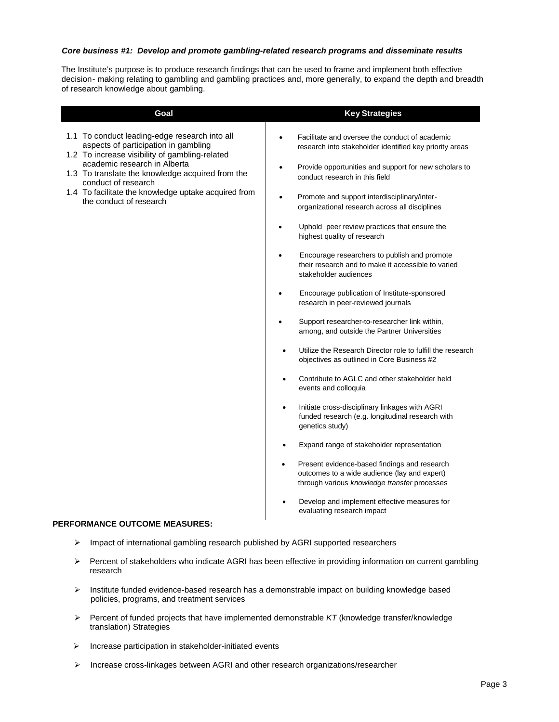#### *Core business #1: Develop and promote gambling-related research programs and disseminate results*

The Institute's purpose is to produce research findings that can be used to frame and implement both effective decision- making relating to gambling and gambling practices and, more generally, to expand the depth and breadth of research knowledge about gambling.

| Goal                                                                                                                                                                                                                                                                                                                                  | <b>Key Strategies</b>                                                                                                                                                                                                                                                                                                                                                                                                                                                                                                                                                                                                                                                                                                                                                                                                                                                                                                                                                                                                                                                                                                                         |
|---------------------------------------------------------------------------------------------------------------------------------------------------------------------------------------------------------------------------------------------------------------------------------------------------------------------------------------|-----------------------------------------------------------------------------------------------------------------------------------------------------------------------------------------------------------------------------------------------------------------------------------------------------------------------------------------------------------------------------------------------------------------------------------------------------------------------------------------------------------------------------------------------------------------------------------------------------------------------------------------------------------------------------------------------------------------------------------------------------------------------------------------------------------------------------------------------------------------------------------------------------------------------------------------------------------------------------------------------------------------------------------------------------------------------------------------------------------------------------------------------|
| 1.1 To conduct leading-edge research into all<br>aspects of participation in gambling<br>1.2 To increase visibility of gambling-related<br>academic research in Alberta<br>1.3 To translate the knowledge acquired from the<br>conduct of research<br>1.4 To facilitate the knowledge uptake acquired from<br>the conduct of research | Facilitate and oversee the conduct of academic<br>$\bullet$<br>research into stakeholder identified key priority areas<br>Provide opportunities and support for new scholars to<br>$\bullet$<br>conduct research in this field<br>Promote and support interdisciplinary/inter-<br>$\bullet$<br>organizational research across all disciplines<br>Uphold peer review practices that ensure the<br>$\bullet$<br>highest quality of research<br>Encourage researchers to publish and promote<br>$\bullet$<br>their research and to make it accessible to varied<br>stakeholder audiences<br>Encourage publication of Institute-sponsored<br>$\bullet$<br>research in peer-reviewed journals<br>Support researcher-to-researcher link within,<br>$\bullet$<br>among, and outside the Partner Universities<br>Utilize the Research Director role to fulfill the research<br>$\bullet$<br>objectives as outlined in Core Business #2<br>Contribute to AGLC and other stakeholder held<br>events and colloquia<br>Initiate cross-disciplinary linkages with AGRI<br>$\bullet$<br>funded research (e.g. longitudinal research with<br>genetics study) |
|                                                                                                                                                                                                                                                                                                                                       | Expand range of stakeholder representation                                                                                                                                                                                                                                                                                                                                                                                                                                                                                                                                                                                                                                                                                                                                                                                                                                                                                                                                                                                                                                                                                                    |
|                                                                                                                                                                                                                                                                                                                                       | Present evidence-based findings and research<br>$\bullet$<br>outcomes to a wide audience (lay and expert)<br>through various knowledge transfer processes<br>Develop and implement effective measures for                                                                                                                                                                                                                                                                                                                                                                                                                                                                                                                                                                                                                                                                                                                                                                                                                                                                                                                                     |
|                                                                                                                                                                                                                                                                                                                                       | evaluating research impact                                                                                                                                                                                                                                                                                                                                                                                                                                                                                                                                                                                                                                                                                                                                                                                                                                                                                                                                                                                                                                                                                                                    |

#### **PERFORMANCE OUTCOME MEASURES:**

- > Impact of international gambling research published by AGRI supported researchers
- Percent of stakeholders who indicate AGRI has been effective in providing information on current gambling research
- $\triangleright$  Institute funded evidence-based research has a demonstrable impact on building knowledge based policies, programs, and treatment services
- $\triangleright$  Percent of funded projects that have implemented demonstrable  $KT$  (knowledge transfer/knowledge translation) Strategies
- $\triangleright$  Increase participation in stakeholder-initiated events
- $\triangleright$  Increase cross-linkages between AGRI and other research organizations/researcher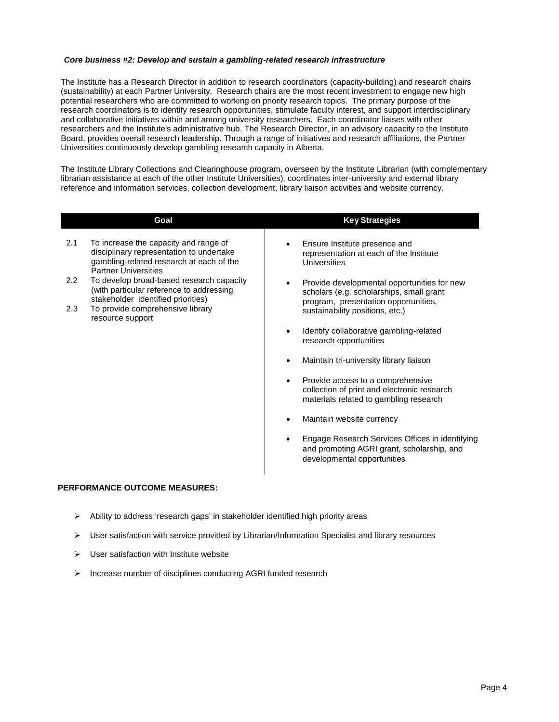#### *Core business #2: Develop and sustain a gambling-related research infrastructure*

The Institute has a Research Director in addition to research coordinators (capacity-building) and research chairs (sustainability) at each Partner University. Research chairs are the most recent investment to engage new high potential researchers who are committed to working on priority research topics. The primary purpose of the research coordinators is to identify research opportunities, stimulate faculty interest, and support interdisciplinary and collaborative initiatives within and among university researchers. Each coordinator liaises with other researchers and the Institute's administrative hub. The Research Director, in an advisory capacity to the Institute Board, provides overall research leadership. Through a range of initiatives and research affiliations, the Partner Universities continuously develop gambling research capacity in Alberta.

The Institute Library Collections and Clearinghouse program, overseen by the Institute Librarian (with complementary librarian assistance at each of the other Institute Universities), coordinates inter-university and external library reference and information services, collection development, library liaison activities and website currency.

|                                | Goal                                                                                                                                                                                                                                                                                                                                               | <b>Key Strategies</b>                                                                                                                                                                                                                                                                                                                                                                                                                                                                                                                                                                                                                                                                                                         |
|--------------------------------|----------------------------------------------------------------------------------------------------------------------------------------------------------------------------------------------------------------------------------------------------------------------------------------------------------------------------------------------------|-------------------------------------------------------------------------------------------------------------------------------------------------------------------------------------------------------------------------------------------------------------------------------------------------------------------------------------------------------------------------------------------------------------------------------------------------------------------------------------------------------------------------------------------------------------------------------------------------------------------------------------------------------------------------------------------------------------------------------|
| 2.1<br>$2.2\phantom{0}$<br>2.3 | To increase the capacity and range of<br>disciplinary representation to undertake<br>gambling-related research at each of the<br><b>Partner Universities</b><br>To develop broad-based research capacity<br>(with particular reference to addressing<br>stakeholder identified priorities)<br>To provide comprehensive library<br>resource support | Ensure Institute presence and<br>$\bullet$<br>representation at each of the Institute<br>Universities<br>Provide developmental opportunities for new<br>scholars (e.g. scholarships, small grant<br>program, presentation opportunities,<br>sustainability positions, etc.)<br>Identify collaborative gambling-related<br>$\bullet$<br>research opportunities<br>Maintain tri-university library liaison<br>Provide access to a comprehensive<br>$\bullet$<br>collection of print and electronic research<br>materials related to gambling research<br>Maintain website currency<br>Engage Research Services Offices in identifying<br>$\bullet$<br>and promoting AGRI grant, scholarship, and<br>developmental opportunities |
|                                |                                                                                                                                                                                                                                                                                                                                                    |                                                                                                                                                                                                                                                                                                                                                                                                                                                                                                                                                                                                                                                                                                                               |

#### **PERFORMANCE OUTCOME MEASURES:**

- Ability to address 'research gaps' in stakeholder identified high priority areas
- $\triangleright$  User satisfaction with service provided by Librarian/Information Specialist and library resources
- $\triangleright$  User satisfaction with Institute website
- $\triangleright$  Increase number of disciplines conducting AGRI funded research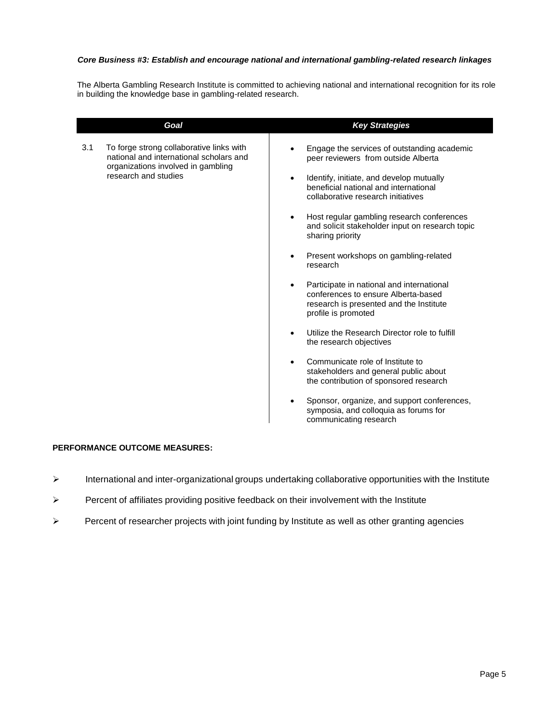#### *Core Business #3: Establish and encourage national and international gambling-related research linkages*

The Alberta Gambling Research Institute is committed to achieving national and international recognition for its role in building the knowledge base in gambling-related research.

|     | Goal                                                                                                                                              | <b>Key Strategies</b>                                                                                                                                                                                                                                                                                                                                                                                                                                                                                                                                                                                                                                                                                                            |
|-----|---------------------------------------------------------------------------------------------------------------------------------------------------|----------------------------------------------------------------------------------------------------------------------------------------------------------------------------------------------------------------------------------------------------------------------------------------------------------------------------------------------------------------------------------------------------------------------------------------------------------------------------------------------------------------------------------------------------------------------------------------------------------------------------------------------------------------------------------------------------------------------------------|
| 3.1 | To forge strong collaborative links with<br>national and international scholars and<br>organizations involved in gambling<br>research and studies | Engage the services of outstanding academic<br>peer reviewers from outside Alberta<br>Identify, initiate, and develop mutually<br>$\bullet$<br>beneficial national and international<br>collaborative research initiatives<br>Host regular gambling research conferences<br>and solicit stakeholder input on research topic<br>sharing priority<br>Present workshops on gambling-related<br>research<br>Participate in national and international<br>conferences to ensure Alberta-based<br>research is presented and the Institute<br>profile is promoted<br>Utilize the Research Director role to fulfill<br>the research objectives<br>Communicate role of Institute to<br>$\bullet$<br>stakeholders and general public about |
|     |                                                                                                                                                   | the contribution of sponsored research                                                                                                                                                                                                                                                                                                                                                                                                                                                                                                                                                                                                                                                                                           |
|     |                                                                                                                                                   |                                                                                                                                                                                                                                                                                                                                                                                                                                                                                                                                                                                                                                                                                                                                  |
|     |                                                                                                                                                   | Sponsor, organize, and support conferences,<br>symposia, and colloquia as forums for<br>communicating research                                                                                                                                                                                                                                                                                                                                                                                                                                                                                                                                                                                                                   |

#### **PERFORMANCE OUTCOME MEASURES:**

- International and inter-organizational groups undertaking collaborative opportunities with the Institute
- $\triangleright$  Percent of affiliates providing positive feedback on their involvement with the Institute
- $\triangleright$  Percent of researcher projects with joint funding by Institute as well as other granting agencies